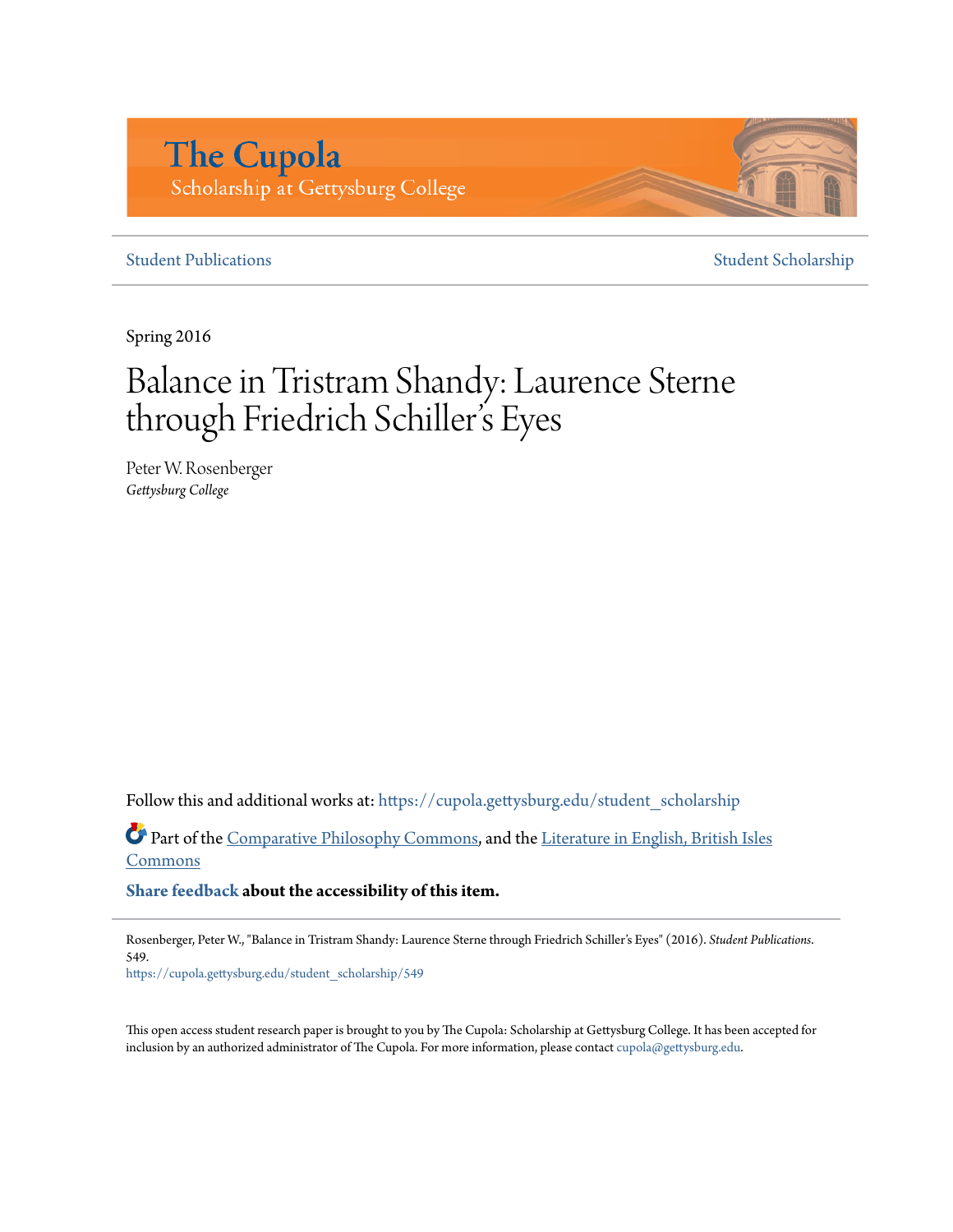# **The Cupola** Scholarship at Gettysburg College

## **[Student Publications](https://cupola.gettysburg.edu/student_scholarship?utm_source=cupola.gettysburg.edu%2Fstudent_scholarship%2F549&utm_medium=PDF&utm_campaign=PDFCoverPages)** [Student Scholarship](https://cupola.gettysburg.edu/student?utm_source=cupola.gettysburg.edu%2Fstudent_scholarship%2F549&utm_medium=PDF&utm_campaign=PDFCoverPages)

Spring 2016

# Balance in Tristram Shandy: Laurence Sterne through Friedrich Schiller 's Eyes

Peter W. Rosenberger *Gettysburg College*

Follow this and additional works at: [https://cupola.gettysburg.edu/student\\_scholarship](https://cupola.gettysburg.edu/student_scholarship?utm_source=cupola.gettysburg.edu%2Fstudent_scholarship%2F549&utm_medium=PDF&utm_campaign=PDFCoverPages)

Part of the [Comparative Philosophy Commons](http://network.bepress.com/hgg/discipline/1343?utm_source=cupola.gettysburg.edu%2Fstudent_scholarship%2F549&utm_medium=PDF&utm_campaign=PDFCoverPages), and the [Literature in English, British Isles](http://network.bepress.com/hgg/discipline/456?utm_source=cupola.gettysburg.edu%2Fstudent_scholarship%2F549&utm_medium=PDF&utm_campaign=PDFCoverPages) **[Commons](http://network.bepress.com/hgg/discipline/456?utm_source=cupola.gettysburg.edu%2Fstudent_scholarship%2F549&utm_medium=PDF&utm_campaign=PDFCoverPages)** 

**[Share feedback](https://docs.google.com/a/bepress.com/forms/d/1h9eEcpBPj5POs5oO6Y5A0blXRmZqykoonyYiZUNyEq8/viewform) about the accessibility of this item.**

Rosenberger, Peter W., "Balance in Tristram Shandy: Laurence Sterne through Friedrich Schiller's Eyes" (2016). *Student Publications*. 549.

[https://cupola.gettysburg.edu/student\\_scholarship/549](https://cupola.gettysburg.edu/student_scholarship/549?utm_source=cupola.gettysburg.edu%2Fstudent_scholarship%2F549&utm_medium=PDF&utm_campaign=PDFCoverPages)

This open access student research paper is brought to you by The Cupola: Scholarship at Gettysburg College. It has been accepted for inclusion by an authorized administrator of The Cupola. For more information, please contact [cupola@gettysburg.edu.](mailto:cupola@gettysburg.edu)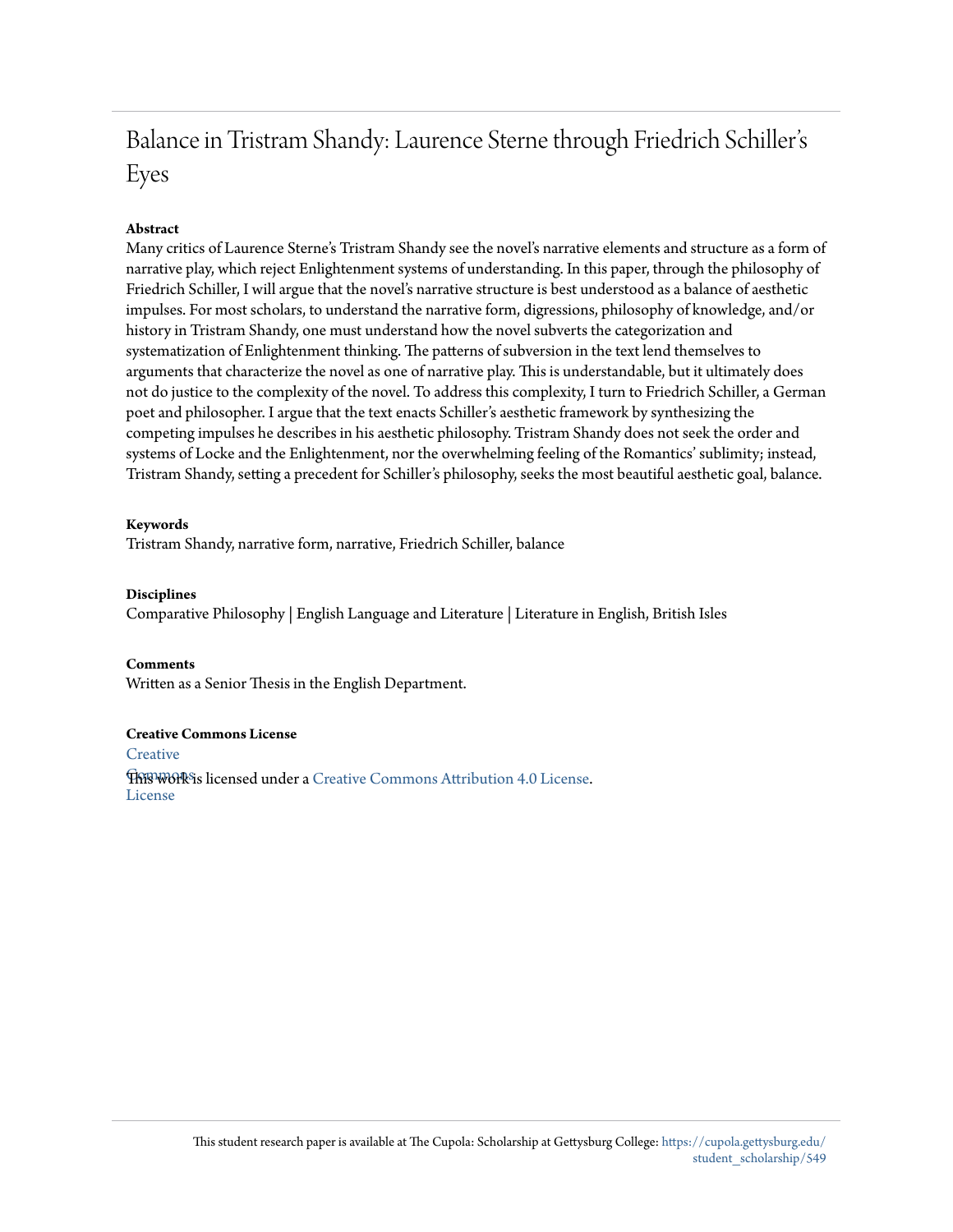# Balance in Tristram Shandy: Laurence Sterne through Friedrich Schiller's Eyes

## **Abstract**

Many critics of Laurence Sterne's Tristram Shandy see the novel's narrative elements and structure as a form of narrative play, which reject Enlightenment systems of understanding. In this paper, through the philosophy of Friedrich Schiller, I will argue that the novel's narrative structure is best understood as a balance of aesthetic impulses. For most scholars, to understand the narrative form, digressions, philosophy of knowledge, and/or history in Tristram Shandy, one must understand how the novel subverts the categorization and systematization of Enlightenment thinking. The patterns of subversion in the text lend themselves to arguments that characterize the novel as one of narrative play. This is understandable, but it ultimately does not do justice to the complexity of the novel. To address this complexity, I turn to Friedrich Schiller, a German poet and philosopher. I argue that the text enacts Schiller's aesthetic framework by synthesizing the competing impulses he describes in his aesthetic philosophy. Tristram Shandy does not seek the order and systems of Locke and the Enlightenment, nor the overwhelming feeling of the Romantics' sublimity; instead, Tristram Shandy, setting a precedent for Schiller's philosophy, seeks the most beautiful aesthetic goal, balance.

#### **Keywords**

Tristram Shandy, narrative form, narrative, Friedrich Schiller, balance

#### **Disciplines**

Comparative Philosophy | English Language and Literature | Literature in English, British Isles

#### **Comments**

Written as a Senior Thesis in the English Department.

#### **Creative Commons License**

**[Creative](https://creativecommons.org/licenses/by/4.0/) Fhis work is licensed under a** [Creative Commons Attribution 4.0 License.](https://creativecommons.org/licenses/by/4.0/) License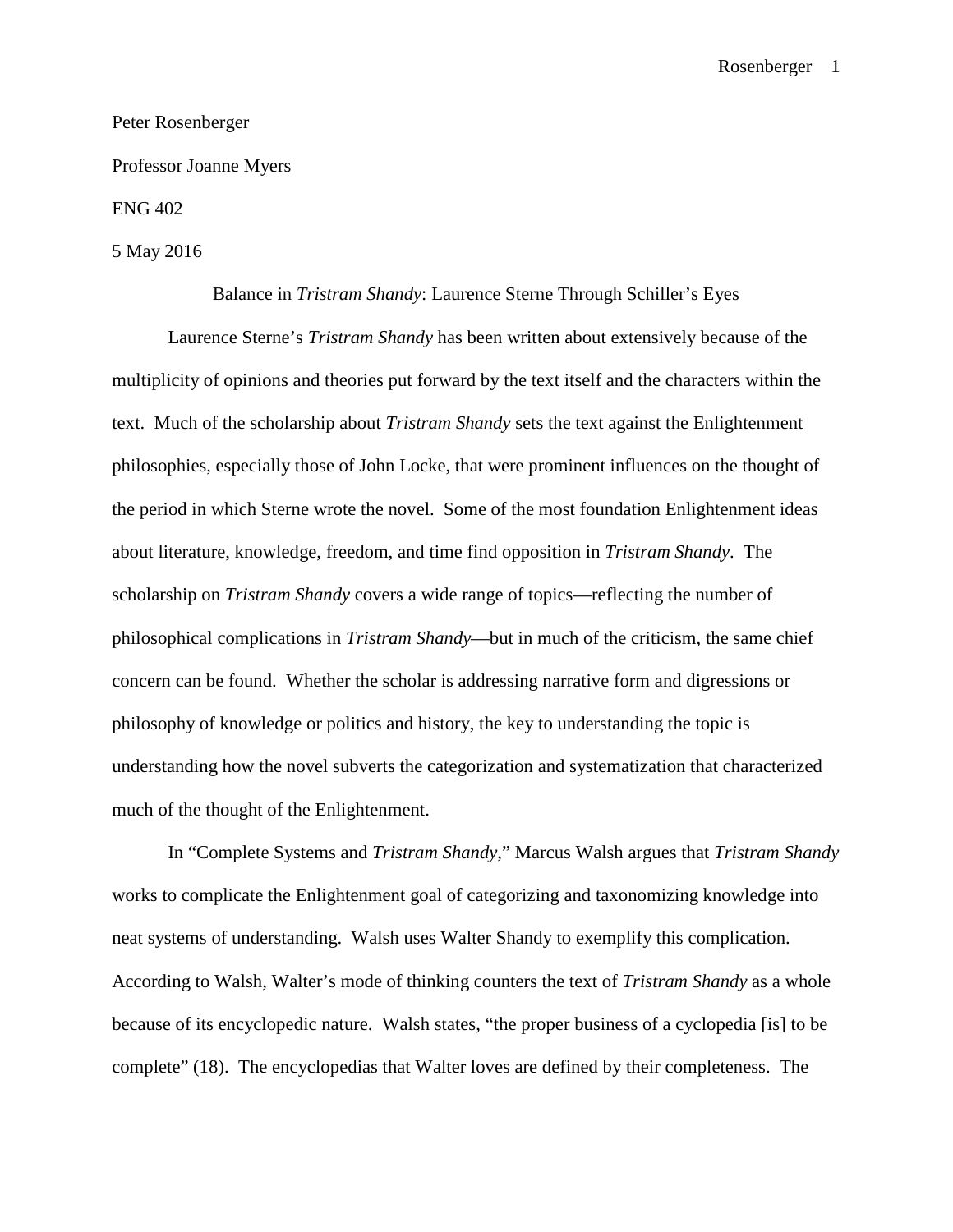#### Peter Rosenberger

Professor Joanne Myers

ENG 402

5 May 2016

Balance in *Tristram Shandy*: Laurence Sterne Through Schiller's Eyes

Laurence Sterne's *Tristram Shandy* has been written about extensively because of the multiplicity of opinions and theories put forward by the text itself and the characters within the text. Much of the scholarship about *Tristram Shandy* sets the text against the Enlightenment philosophies, especially those of John Locke, that were prominent influences on the thought of the period in which Sterne wrote the novel. Some of the most foundation Enlightenment ideas about literature, knowledge, freedom, and time find opposition in *Tristram Shandy*. The scholarship on *Tristram Shandy* covers a wide range of topics—reflecting the number of philosophical complications in *Tristram Shandy*—but in much of the criticism, the same chief concern can be found. Whether the scholar is addressing narrative form and digressions or philosophy of knowledge or politics and history, the key to understanding the topic is understanding how the novel subverts the categorization and systematization that characterized much of the thought of the Enlightenment.

In "Complete Systems and *Tristram Shandy*," Marcus Walsh argues that *Tristram Shandy* works to complicate the Enlightenment goal of categorizing and taxonomizing knowledge into neat systems of understanding. Walsh uses Walter Shandy to exemplify this complication. According to Walsh, Walter's mode of thinking counters the text of *Tristram Shandy* as a whole because of its encyclopedic nature. Walsh states, "the proper business of a cyclopedia [is] to be complete" (18). The encyclopedias that Walter loves are defined by their completeness. The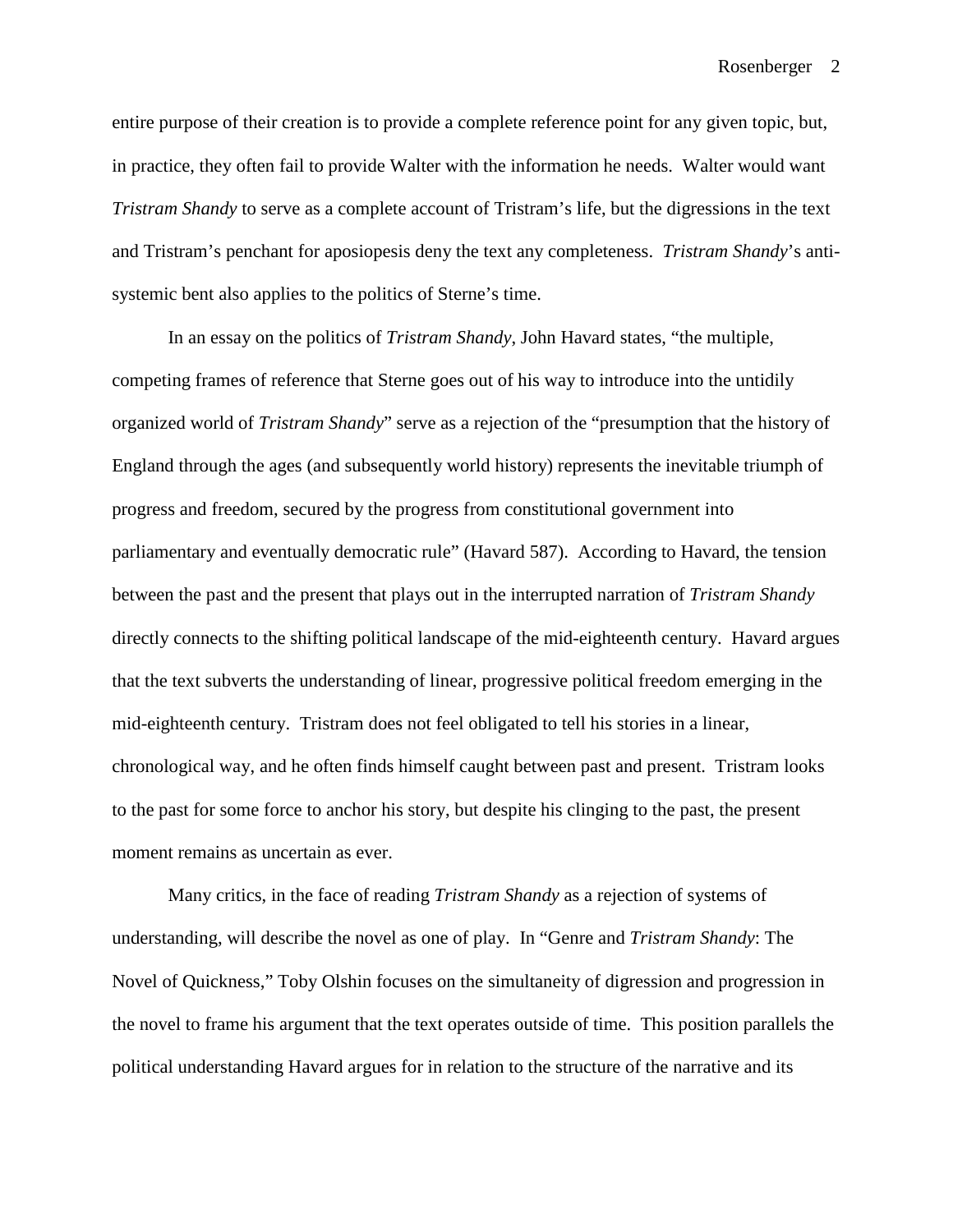entire purpose of their creation is to provide a complete reference point for any given topic, but, in practice, they often fail to provide Walter with the information he needs. Walter would want *Tristram Shandy* to serve as a complete account of Tristram's life, but the digressions in the text and Tristram's penchant for aposiopesis deny the text any completeness. *Tristram Shandy*'s antisystemic bent also applies to the politics of Sterne's time.

In an essay on the politics of *Tristram Shandy*, John Havard states, "the multiple, competing frames of reference that Sterne goes out of his way to introduce into the untidily organized world of *Tristram Shandy*" serve as a rejection of the "presumption that the history of England through the ages (and subsequently world history) represents the inevitable triumph of progress and freedom, secured by the progress from constitutional government into parliamentary and eventually democratic rule" (Havard 587). According to Havard, the tension between the past and the present that plays out in the interrupted narration of *Tristram Shandy* directly connects to the shifting political landscape of the mid-eighteenth century. Havard argues that the text subverts the understanding of linear, progressive political freedom emerging in the mid-eighteenth century. Tristram does not feel obligated to tell his stories in a linear, chronological way, and he often finds himself caught between past and present. Tristram looks to the past for some force to anchor his story, but despite his clinging to the past, the present moment remains as uncertain as ever.

Many critics, in the face of reading *Tristram Shandy* as a rejection of systems of understanding, will describe the novel as one of play. In "Genre and *Tristram Shandy*: The Novel of Quickness," Toby Olshin focuses on the simultaneity of digression and progression in the novel to frame his argument that the text operates outside of time. This position parallels the political understanding Havard argues for in relation to the structure of the narrative and its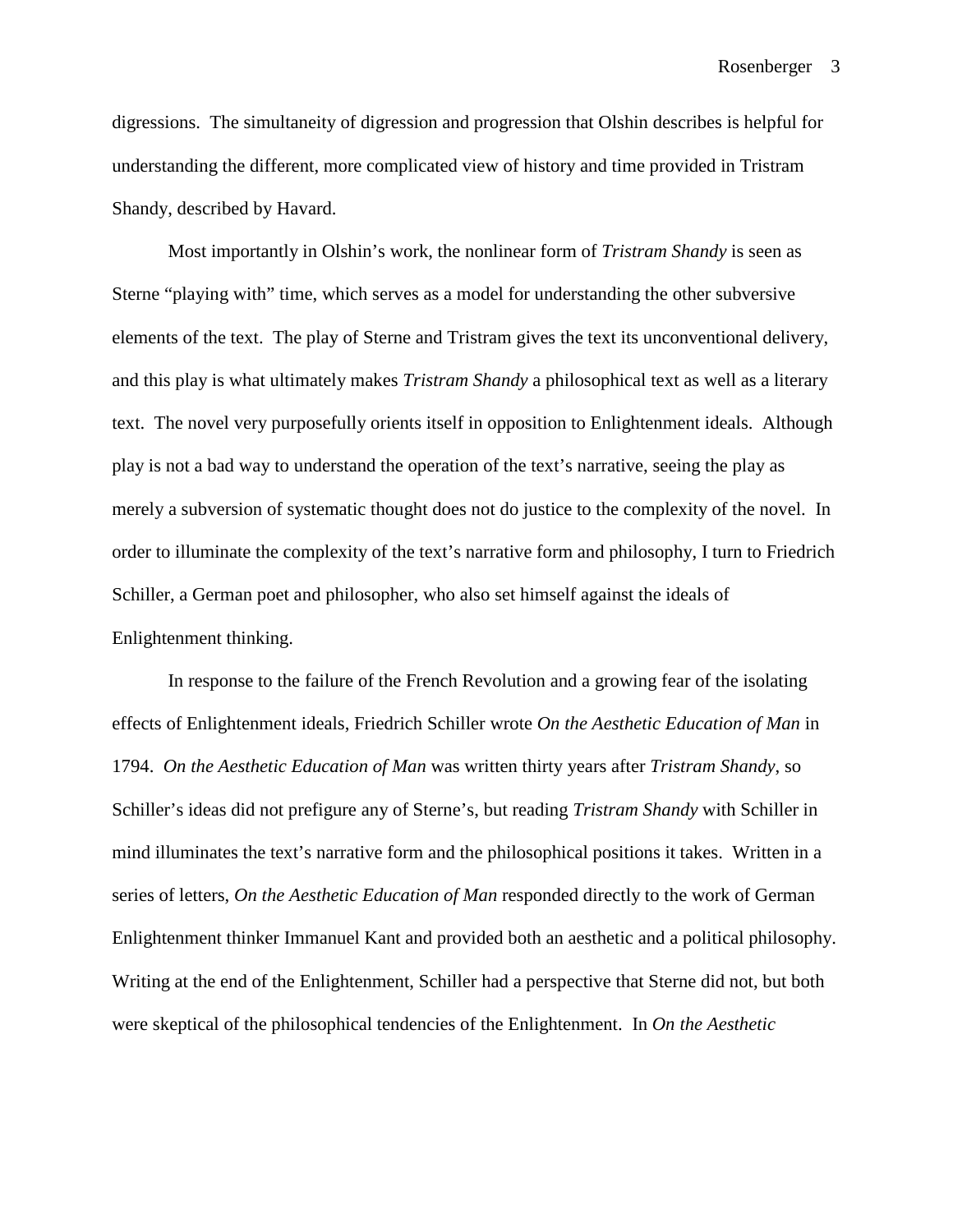digressions. The simultaneity of digression and progression that Olshin describes is helpful for understanding the different, more complicated view of history and time provided in Tristram Shandy, described by Havard.

Most importantly in Olshin's work, the nonlinear form of *Tristram Shandy* is seen as Sterne "playing with" time, which serves as a model for understanding the other subversive elements of the text. The play of Sterne and Tristram gives the text its unconventional delivery, and this play is what ultimately makes *Tristram Shandy* a philosophical text as well as a literary text. The novel very purposefully orients itself in opposition to Enlightenment ideals. Although play is not a bad way to understand the operation of the text's narrative, seeing the play as merely a subversion of systematic thought does not do justice to the complexity of the novel. In order to illuminate the complexity of the text's narrative form and philosophy, I turn to Friedrich Schiller, a German poet and philosopher, who also set himself against the ideals of Enlightenment thinking.

In response to the failure of the French Revolution and a growing fear of the isolating effects of Enlightenment ideals, Friedrich Schiller wrote *On the Aesthetic Education of Man* in 1794. *On the Aesthetic Education of Man* was written thirty years after *Tristram Shandy*, so Schiller's ideas did not prefigure any of Sterne's, but reading *Tristram Shandy* with Schiller in mind illuminates the text's narrative form and the philosophical positions it takes. Written in a series of letters, *On the Aesthetic Education of Man* responded directly to the work of German Enlightenment thinker Immanuel Kant and provided both an aesthetic and a political philosophy. Writing at the end of the Enlightenment, Schiller had a perspective that Sterne did not, but both were skeptical of the philosophical tendencies of the Enlightenment. In *On the Aesthetic*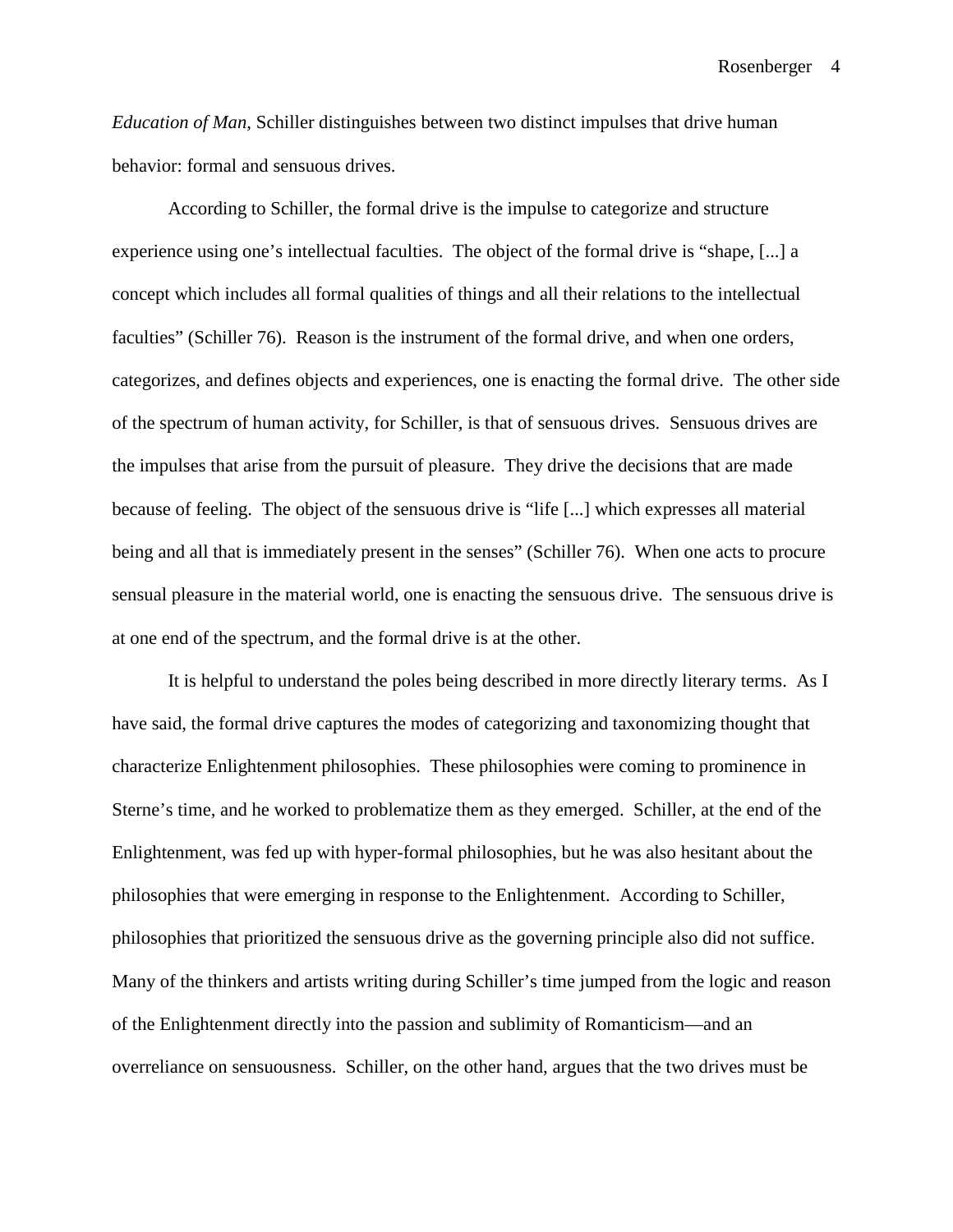*Education of Man*, Schiller distinguishes between two distinct impulses that drive human behavior: formal and sensuous drives.

According to Schiller, the formal drive is the impulse to categorize and structure experience using one's intellectual faculties. The object of the formal drive is "shape, [...] a concept which includes all formal qualities of things and all their relations to the intellectual faculties" (Schiller 76). Reason is the instrument of the formal drive, and when one orders, categorizes, and defines objects and experiences, one is enacting the formal drive. The other side of the spectrum of human activity, for Schiller, is that of sensuous drives. Sensuous drives are the impulses that arise from the pursuit of pleasure. They drive the decisions that are made because of feeling. The object of the sensuous drive is "life [...] which expresses all material being and all that is immediately present in the senses" (Schiller 76). When one acts to procure sensual pleasure in the material world, one is enacting the sensuous drive. The sensuous drive is at one end of the spectrum, and the formal drive is at the other.

It is helpful to understand the poles being described in more directly literary terms. As I have said, the formal drive captures the modes of categorizing and taxonomizing thought that characterize Enlightenment philosophies. These philosophies were coming to prominence in Sterne's time, and he worked to problematize them as they emerged. Schiller, at the end of the Enlightenment, was fed up with hyper-formal philosophies, but he was also hesitant about the philosophies that were emerging in response to the Enlightenment. According to Schiller, philosophies that prioritized the sensuous drive as the governing principle also did not suffice. Many of the thinkers and artists writing during Schiller's time jumped from the logic and reason of the Enlightenment directly into the passion and sublimity of Romanticism—and an overreliance on sensuousness. Schiller, on the other hand, argues that the two drives must be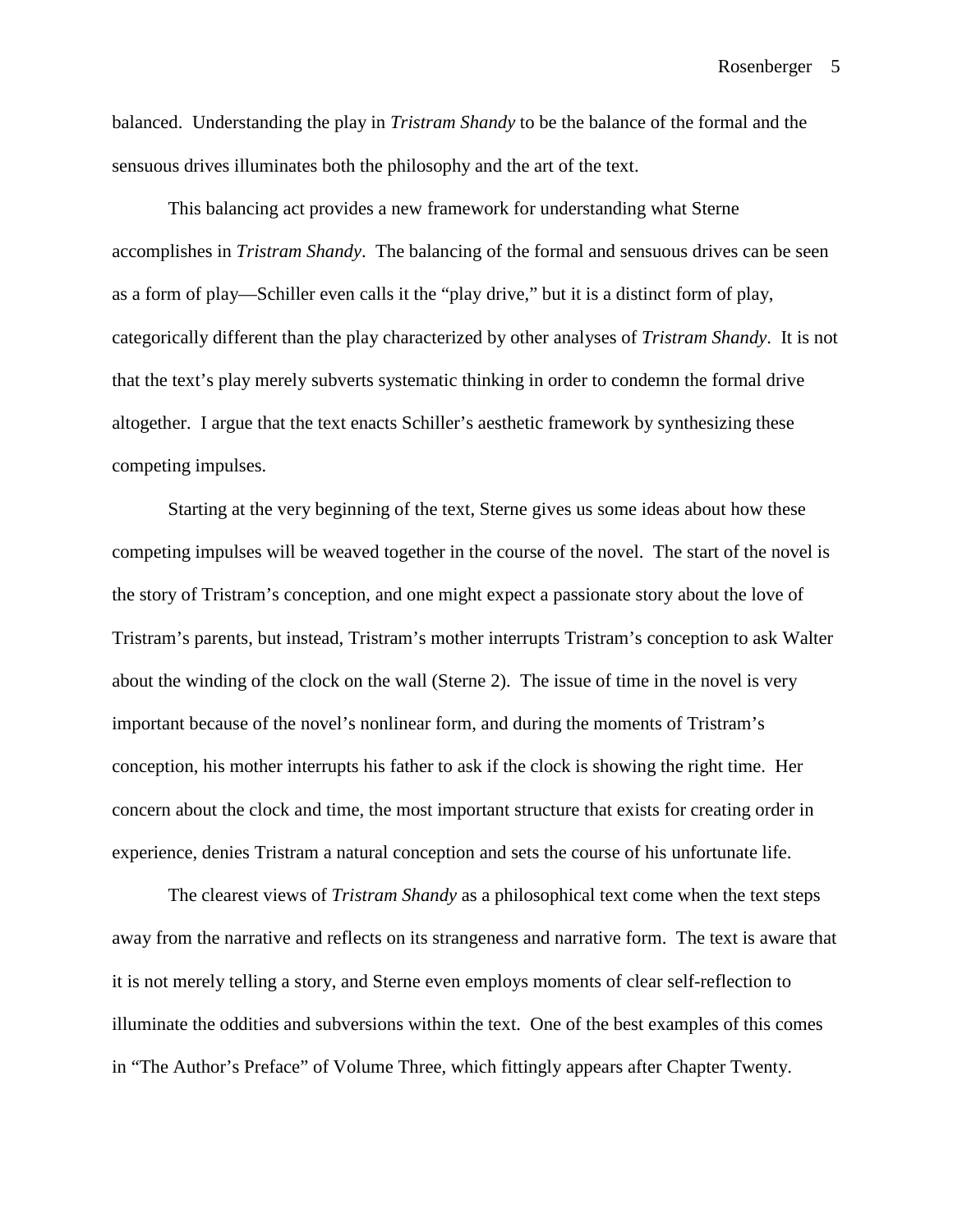balanced. Understanding the play in *Tristram Shandy* to be the balance of the formal and the sensuous drives illuminates both the philosophy and the art of the text.

This balancing act provides a new framework for understanding what Sterne accomplishes in *Tristram Shandy*. The balancing of the formal and sensuous drives can be seen as a form of play—Schiller even calls it the "play drive," but it is a distinct form of play, categorically different than the play characterized by other analyses of *Tristram Shandy*. It is not that the text's play merely subverts systematic thinking in order to condemn the formal drive altogether. I argue that the text enacts Schiller's aesthetic framework by synthesizing these competing impulses.

Starting at the very beginning of the text, Sterne gives us some ideas about how these competing impulses will be weaved together in the course of the novel. The start of the novel is the story of Tristram's conception, and one might expect a passionate story about the love of Tristram's parents, but instead, Tristram's mother interrupts Tristram's conception to ask Walter about the winding of the clock on the wall (Sterne 2). The issue of time in the novel is very important because of the novel's nonlinear form, and during the moments of Tristram's conception, his mother interrupts his father to ask if the clock is showing the right time. Her concern about the clock and time, the most important structure that exists for creating order in experience, denies Tristram a natural conception and sets the course of his unfortunate life.

The clearest views of *Tristram Shandy* as a philosophical text come when the text steps away from the narrative and reflects on its strangeness and narrative form. The text is aware that it is not merely telling a story, and Sterne even employs moments of clear self-reflection to illuminate the oddities and subversions within the text. One of the best examples of this comes in "The Author's Preface" of Volume Three, which fittingly appears after Chapter Twenty.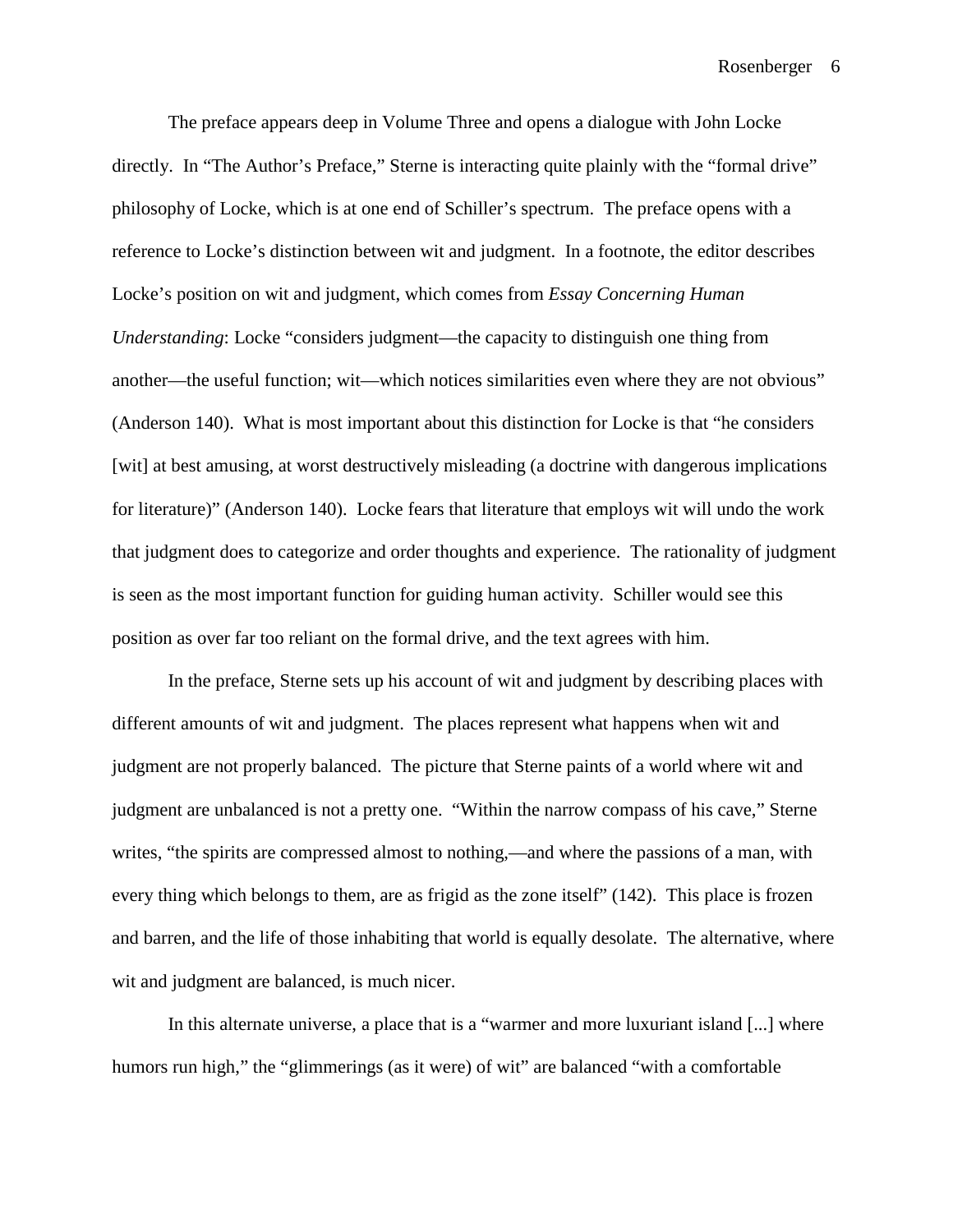The preface appears deep in Volume Three and opens a dialogue with John Locke directly. In "The Author's Preface," Sterne is interacting quite plainly with the "formal drive" philosophy of Locke, which is at one end of Schiller's spectrum. The preface opens with a reference to Locke's distinction between wit and judgment. In a footnote, the editor describes Locke's position on wit and judgment, which comes from *Essay Concerning Human Understanding*: Locke "considers judgment—the capacity to distinguish one thing from another—the useful function; wit—which notices similarities even where they are not obvious" (Anderson 140). What is most important about this distinction for Locke is that "he considers [wit] at best amusing, at worst destructively misleading (a doctrine with dangerous implications for literature)" (Anderson 140). Locke fears that literature that employs wit will undo the work that judgment does to categorize and order thoughts and experience. The rationality of judgment is seen as the most important function for guiding human activity. Schiller would see this position as over far too reliant on the formal drive, and the text agrees with him.

In the preface, Sterne sets up his account of wit and judgment by describing places with different amounts of wit and judgment. The places represent what happens when wit and judgment are not properly balanced. The picture that Sterne paints of a world where wit and judgment are unbalanced is not a pretty one. "Within the narrow compass of his cave," Sterne writes, "the spirits are compressed almost to nothing,—and where the passions of a man, with every thing which belongs to them, are as frigid as the zone itself" (142). This place is frozen and barren, and the life of those inhabiting that world is equally desolate. The alternative, where wit and judgment are balanced, is much nicer.

In this alternate universe, a place that is a "warmer and more luxuriant island [...] where humors run high," the "glimmerings (as it were) of wit" are balanced "with a comfortable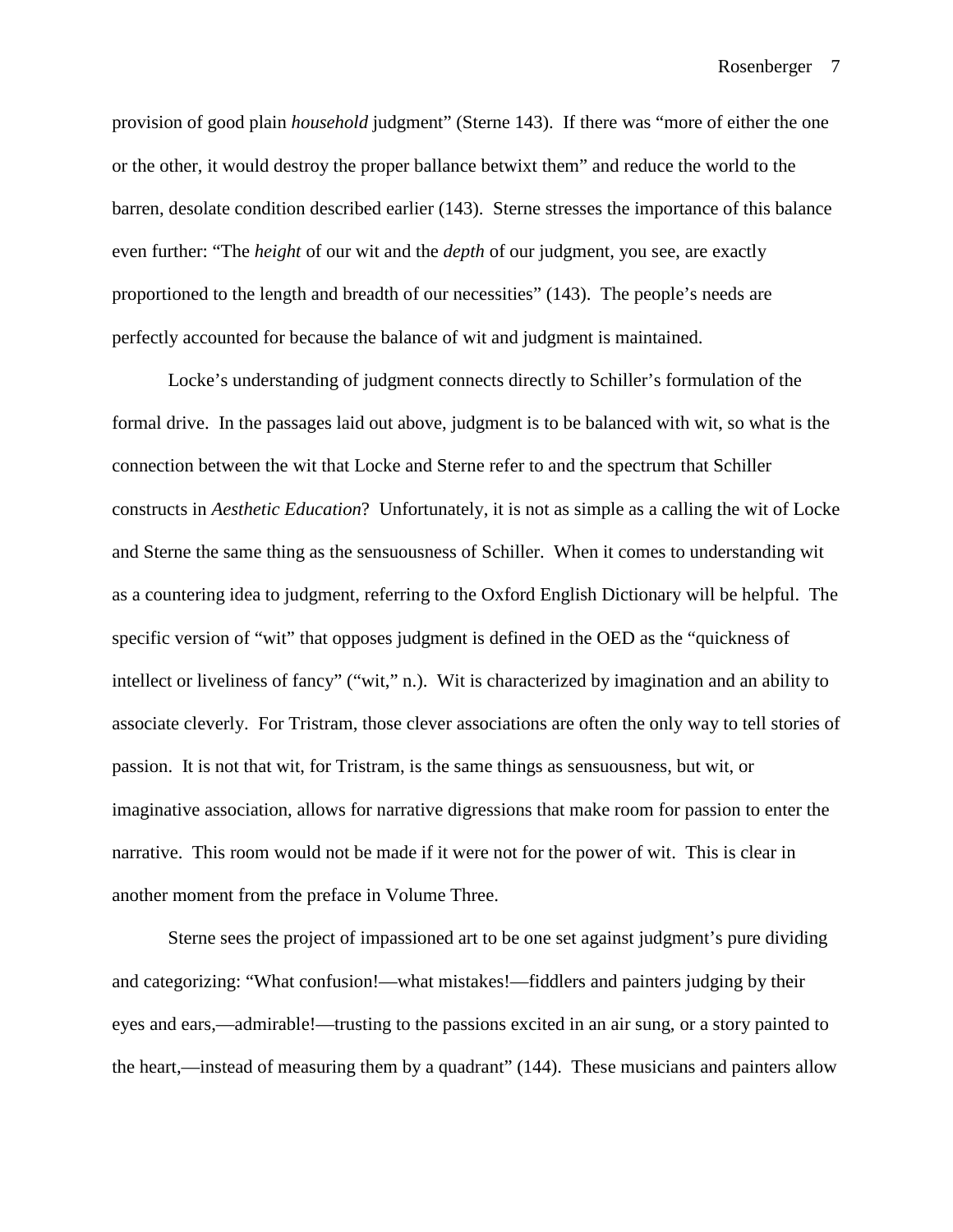provision of good plain *household* judgment" (Sterne 143). If there was "more of either the one or the other, it would destroy the proper ballance betwixt them" and reduce the world to the barren, desolate condition described earlier (143). Sterne stresses the importance of this balance even further: "The *height* of our wit and the *depth* of our judgment, you see, are exactly proportioned to the length and breadth of our necessities" (143). The people's needs are perfectly accounted for because the balance of wit and judgment is maintained.

Locke's understanding of judgment connects directly to Schiller's formulation of the formal drive. In the passages laid out above, judgment is to be balanced with wit, so what is the connection between the wit that Locke and Sterne refer to and the spectrum that Schiller constructs in *Aesthetic Education*? Unfortunately, it is not as simple as a calling the wit of Locke and Sterne the same thing as the sensuousness of Schiller. When it comes to understanding wit as a countering idea to judgment, referring to the Oxford English Dictionary will be helpful. The specific version of "wit" that opposes judgment is defined in the OED as the "quickness of intellect or liveliness of fancy" ("wit," n.). Wit is characterized by imagination and an ability to associate cleverly. For Tristram, those clever associations are often the only way to tell stories of passion. It is not that wit, for Tristram, is the same things as sensuousness, but wit, or imaginative association, allows for narrative digressions that make room for passion to enter the narrative. This room would not be made if it were not for the power of wit. This is clear in another moment from the preface in Volume Three.

Sterne sees the project of impassioned art to be one set against judgment's pure dividing and categorizing: "What confusion!—what mistakes!—fiddlers and painters judging by their eyes and ears,—admirable!—trusting to the passions excited in an air sung, or a story painted to the heart,—instead of measuring them by a quadrant" (144). These musicians and painters allow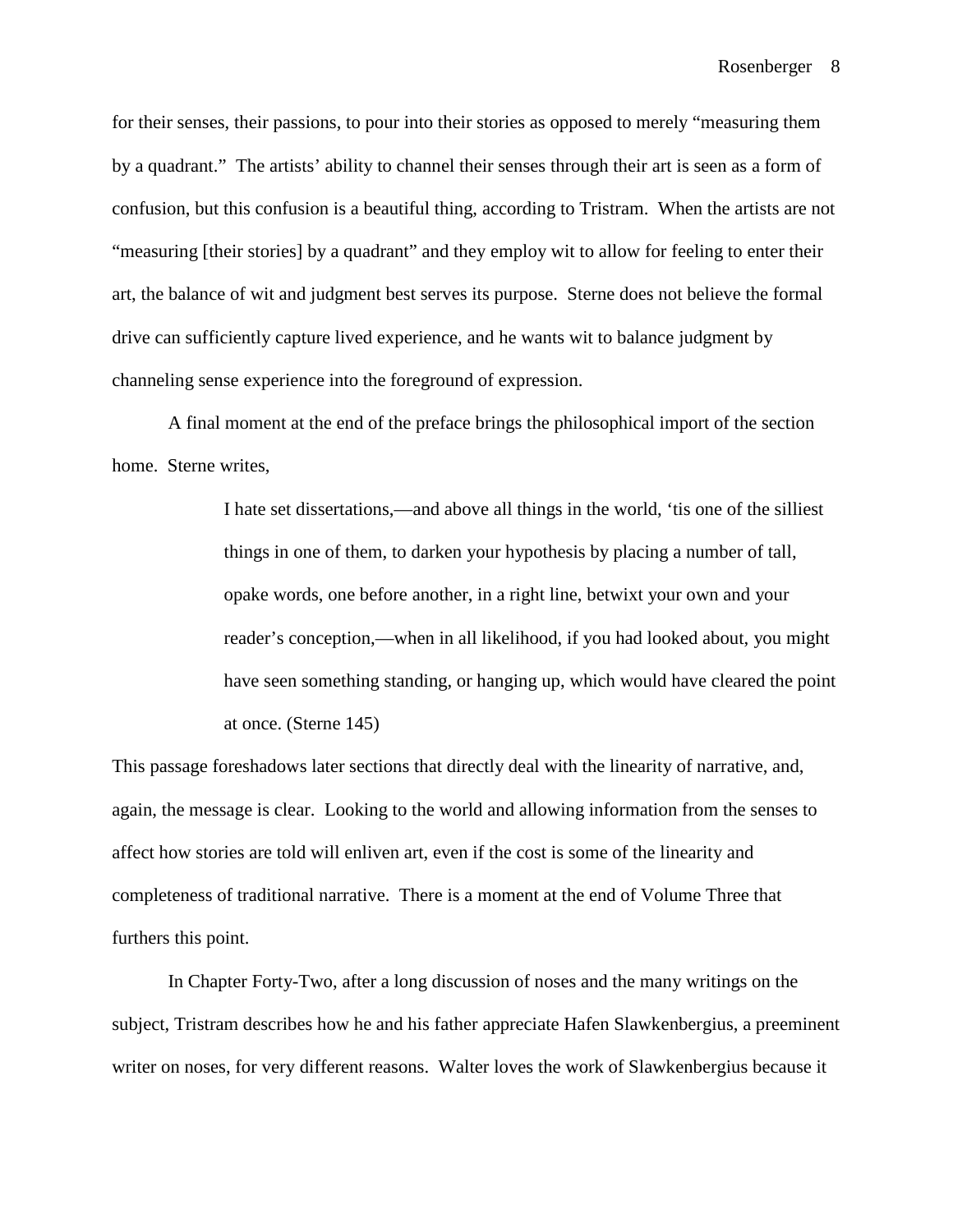for their senses, their passions, to pour into their stories as opposed to merely "measuring them by a quadrant." The artists' ability to channel their senses through their art is seen as a form of confusion, but this confusion is a beautiful thing, according to Tristram. When the artists are not "measuring [their stories] by a quadrant" and they employ wit to allow for feeling to enter their art, the balance of wit and judgment best serves its purpose. Sterne does not believe the formal drive can sufficiently capture lived experience, and he wants wit to balance judgment by channeling sense experience into the foreground of expression.

A final moment at the end of the preface brings the philosophical import of the section home. Sterne writes,

> I hate set dissertations,—and above all things in the world, 'tis one of the silliest things in one of them, to darken your hypothesis by placing a number of tall, opake words, one before another, in a right line, betwixt your own and your reader's conception,—when in all likelihood, if you had looked about, you might have seen something standing, or hanging up, which would have cleared the point at once. (Sterne 145)

This passage foreshadows later sections that directly deal with the linearity of narrative, and, again, the message is clear. Looking to the world and allowing information from the senses to affect how stories are told will enliven art, even if the cost is some of the linearity and completeness of traditional narrative. There is a moment at the end of Volume Three that furthers this point.

In Chapter Forty-Two, after a long discussion of noses and the many writings on the subject, Tristram describes how he and his father appreciate Hafen Slawkenbergius, a preeminent writer on noses, for very different reasons. Walter loves the work of Slawkenbergius because it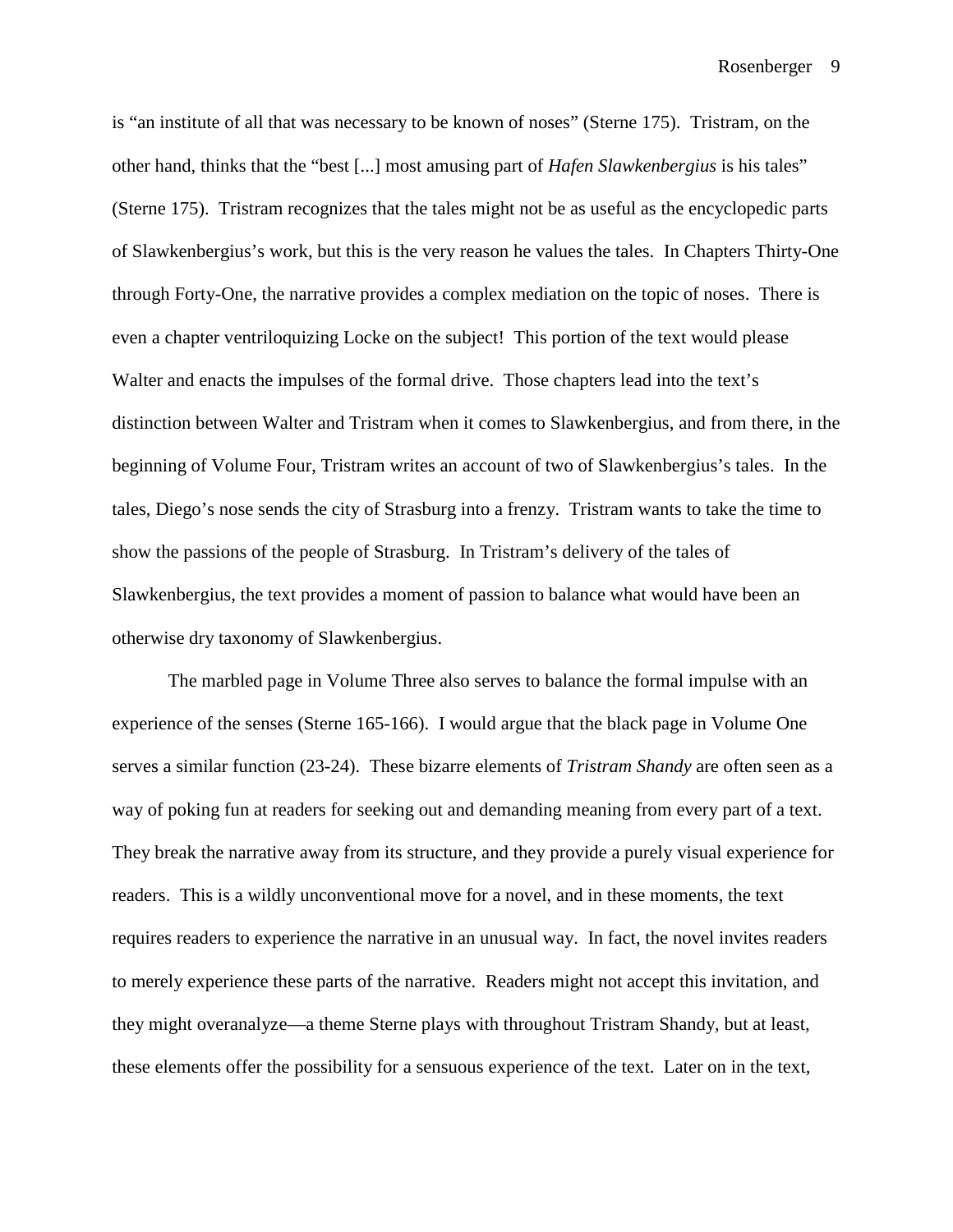is "an institute of all that was necessary to be known of noses" (Sterne 175). Tristram, on the other hand, thinks that the "best [...] most amusing part of *Hafen Slawkenbergius* is his tales" (Sterne 175). Tristram recognizes that the tales might not be as useful as the encyclopedic parts of Slawkenbergius's work, but this is the very reason he values the tales. In Chapters Thirty-One through Forty-One, the narrative provides a complex mediation on the topic of noses. There is even a chapter ventriloquizing Locke on the subject! This portion of the text would please Walter and enacts the impulses of the formal drive. Those chapters lead into the text's distinction between Walter and Tristram when it comes to Slawkenbergius, and from there, in the beginning of Volume Four, Tristram writes an account of two of Slawkenbergius's tales. In the tales, Diego's nose sends the city of Strasburg into a frenzy. Tristram wants to take the time to show the passions of the people of Strasburg. In Tristram's delivery of the tales of Slawkenbergius, the text provides a moment of passion to balance what would have been an otherwise dry taxonomy of Slawkenbergius.

The marbled page in Volume Three also serves to balance the formal impulse with an experience of the senses (Sterne 165-166). I would argue that the black page in Volume One serves a similar function (23-24). These bizarre elements of *Tristram Shandy* are often seen as a way of poking fun at readers for seeking out and demanding meaning from every part of a text. They break the narrative away from its structure, and they provide a purely visual experience for readers. This is a wildly unconventional move for a novel, and in these moments, the text requires readers to experience the narrative in an unusual way. In fact, the novel invites readers to merely experience these parts of the narrative. Readers might not accept this invitation, and they might overanalyze—a theme Sterne plays with throughout Tristram Shandy, but at least, these elements offer the possibility for a sensuous experience of the text. Later on in the text,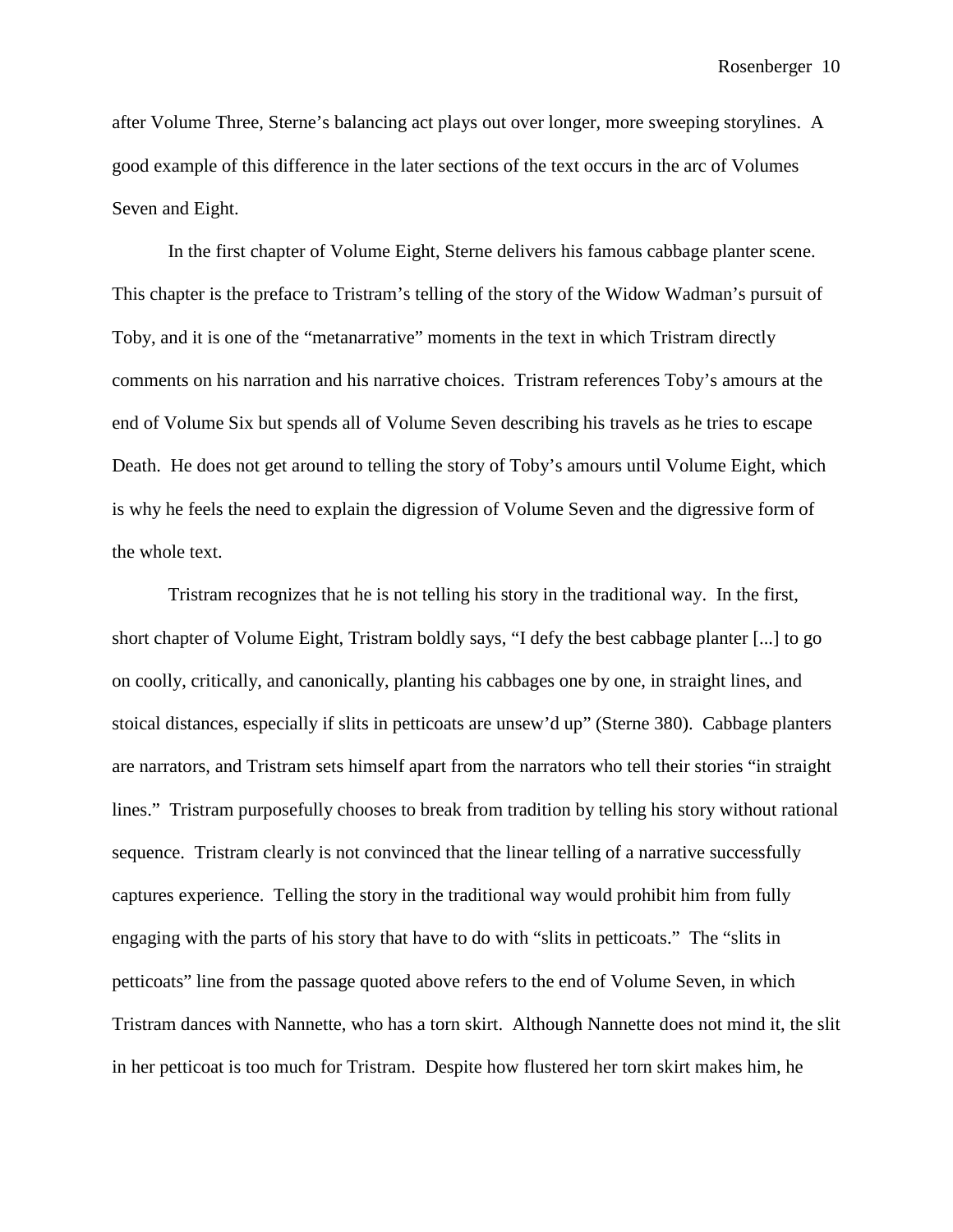after Volume Three, Sterne's balancing act plays out over longer, more sweeping storylines. A good example of this difference in the later sections of the text occurs in the arc of Volumes Seven and Eight.

In the first chapter of Volume Eight, Sterne delivers his famous cabbage planter scene. This chapter is the preface to Tristram's telling of the story of the Widow Wadman's pursuit of Toby, and it is one of the "metanarrative" moments in the text in which Tristram directly comments on his narration and his narrative choices. Tristram references Toby's amours at the end of Volume Six but spends all of Volume Seven describing his travels as he tries to escape Death. He does not get around to telling the story of Toby's amours until Volume Eight, which is why he feels the need to explain the digression of Volume Seven and the digressive form of the whole text.

Tristram recognizes that he is not telling his story in the traditional way. In the first, short chapter of Volume Eight, Tristram boldly says, "I defy the best cabbage planter [...] to go on coolly, critically, and canonically, planting his cabbages one by one, in straight lines, and stoical distances, especially if slits in petticoats are unsew'd up" (Sterne 380). Cabbage planters are narrators, and Tristram sets himself apart from the narrators who tell their stories "in straight lines." Tristram purposefully chooses to break from tradition by telling his story without rational sequence. Tristram clearly is not convinced that the linear telling of a narrative successfully captures experience. Telling the story in the traditional way would prohibit him from fully engaging with the parts of his story that have to do with "slits in petticoats." The "slits in petticoats" line from the passage quoted above refers to the end of Volume Seven, in which Tristram dances with Nannette, who has a torn skirt. Although Nannette does not mind it, the slit in her petticoat is too much for Tristram. Despite how flustered her torn skirt makes him, he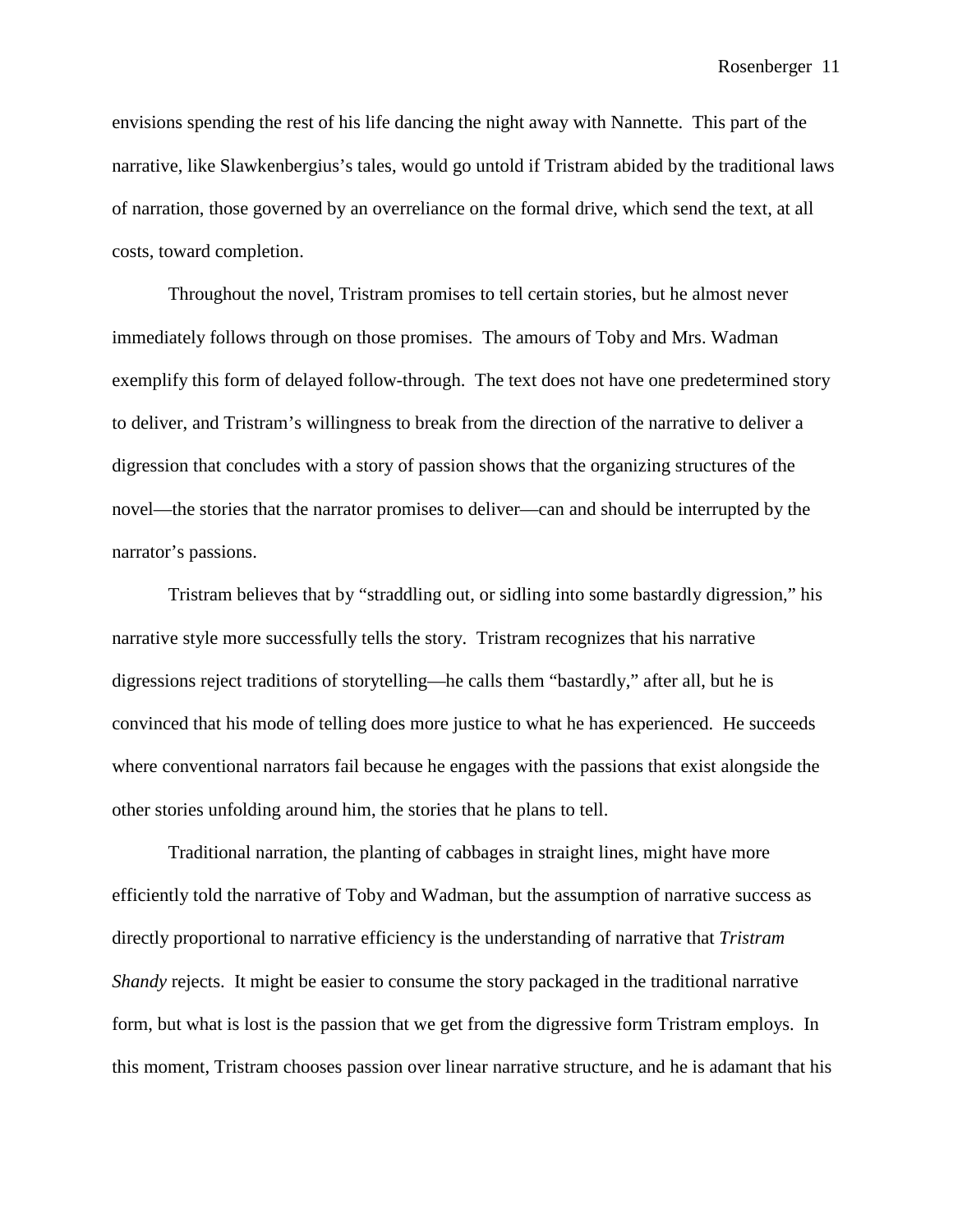envisions spending the rest of his life dancing the night away with Nannette. This part of the narrative, like Slawkenbergius's tales, would go untold if Tristram abided by the traditional laws of narration, those governed by an overreliance on the formal drive, which send the text, at all costs, toward completion.

Throughout the novel, Tristram promises to tell certain stories, but he almost never immediately follows through on those promises. The amours of Toby and Mrs. Wadman exemplify this form of delayed follow-through. The text does not have one predetermined story to deliver, and Tristram's willingness to break from the direction of the narrative to deliver a digression that concludes with a story of passion shows that the organizing structures of the novel—the stories that the narrator promises to deliver—can and should be interrupted by the narrator's passions.

Tristram believes that by "straddling out, or sidling into some bastardly digression," his narrative style more successfully tells the story. Tristram recognizes that his narrative digressions reject traditions of storytelling—he calls them "bastardly," after all, but he is convinced that his mode of telling does more justice to what he has experienced. He succeeds where conventional narrators fail because he engages with the passions that exist alongside the other stories unfolding around him, the stories that he plans to tell.

Traditional narration, the planting of cabbages in straight lines, might have more efficiently told the narrative of Toby and Wadman, but the assumption of narrative success as directly proportional to narrative efficiency is the understanding of narrative that *Tristram Shandy* rejects. It might be easier to consume the story packaged in the traditional narrative form, but what is lost is the passion that we get from the digressive form Tristram employs. In this moment, Tristram chooses passion over linear narrative structure, and he is adamant that his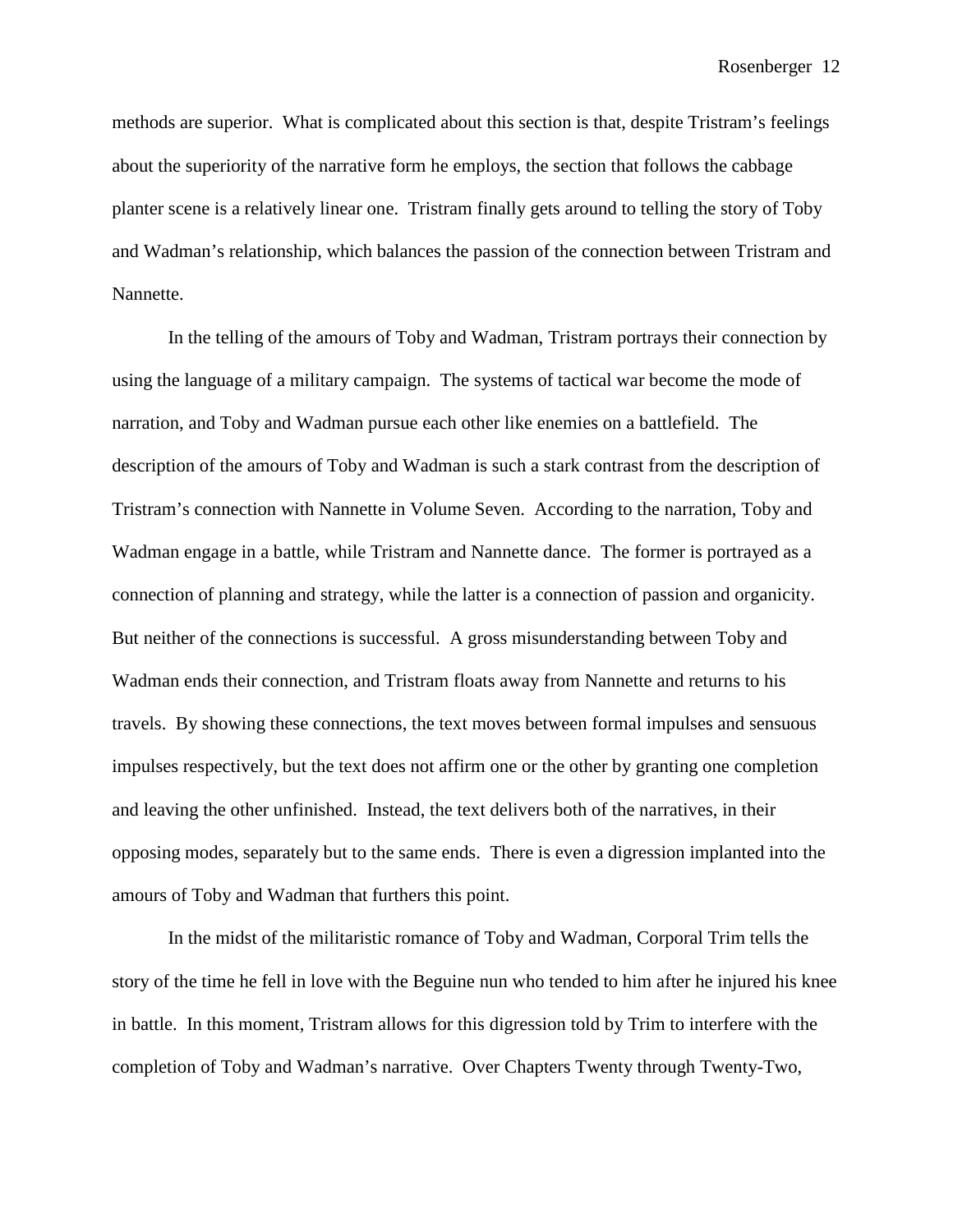methods are superior. What is complicated about this section is that, despite Tristram's feelings about the superiority of the narrative form he employs, the section that follows the cabbage planter scene is a relatively linear one. Tristram finally gets around to telling the story of Toby and Wadman's relationship, which balances the passion of the connection between Tristram and Nannette.

In the telling of the amours of Toby and Wadman, Tristram portrays their connection by using the language of a military campaign. The systems of tactical war become the mode of narration, and Toby and Wadman pursue each other like enemies on a battlefield. The description of the amours of Toby and Wadman is such a stark contrast from the description of Tristram's connection with Nannette in Volume Seven. According to the narration, Toby and Wadman engage in a battle, while Tristram and Nannette dance. The former is portrayed as a connection of planning and strategy, while the latter is a connection of passion and organicity. But neither of the connections is successful. A gross misunderstanding between Toby and Wadman ends their connection, and Tristram floats away from Nannette and returns to his travels. By showing these connections, the text moves between formal impulses and sensuous impulses respectively, but the text does not affirm one or the other by granting one completion and leaving the other unfinished. Instead, the text delivers both of the narratives, in their opposing modes, separately but to the same ends. There is even a digression implanted into the amours of Toby and Wadman that furthers this point.

In the midst of the militaristic romance of Toby and Wadman, Corporal Trim tells the story of the time he fell in love with the Beguine nun who tended to him after he injured his knee in battle. In this moment, Tristram allows for this digression told by Trim to interfere with the completion of Toby and Wadman's narrative. Over Chapters Twenty through Twenty-Two,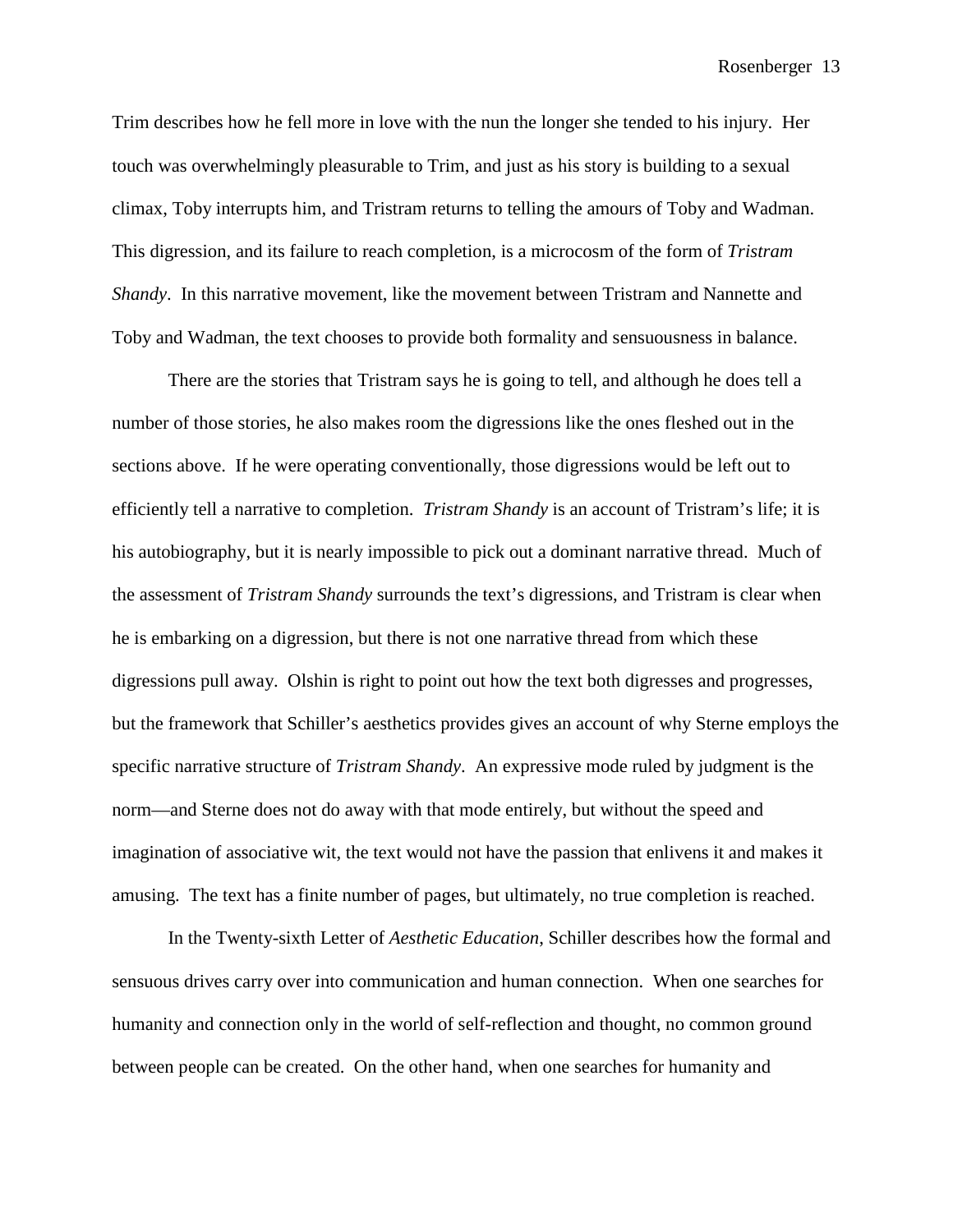Trim describes how he fell more in love with the nun the longer she tended to his injury. Her touch was overwhelmingly pleasurable to Trim, and just as his story is building to a sexual climax, Toby interrupts him, and Tristram returns to telling the amours of Toby and Wadman. This digression, and its failure to reach completion, is a microcosm of the form of *Tristram Shandy*. In this narrative movement, like the movement between Tristram and Nannette and Toby and Wadman, the text chooses to provide both formality and sensuousness in balance.

There are the stories that Tristram says he is going to tell, and although he does tell a number of those stories, he also makes room the digressions like the ones fleshed out in the sections above. If he were operating conventionally, those digressions would be left out to efficiently tell a narrative to completion. *Tristram Shandy* is an account of Tristram's life; it is his autobiography, but it is nearly impossible to pick out a dominant narrative thread. Much of the assessment of *Tristram Shandy* surrounds the text's digressions, and Tristram is clear when he is embarking on a digression, but there is not one narrative thread from which these digressions pull away. Olshin is right to point out how the text both digresses and progresses, but the framework that Schiller's aesthetics provides gives an account of why Sterne employs the specific narrative structure of *Tristram Shandy*. An expressive mode ruled by judgment is the norm—and Sterne does not do away with that mode entirely, but without the speed and imagination of associative wit, the text would not have the passion that enlivens it and makes it amusing. The text has a finite number of pages, but ultimately, no true completion is reached.

In the Twenty-sixth Letter of *Aesthetic Education*, Schiller describes how the formal and sensuous drives carry over into communication and human connection. When one searches for humanity and connection only in the world of self-reflection and thought, no common ground between people can be created. On the other hand, when one searches for humanity and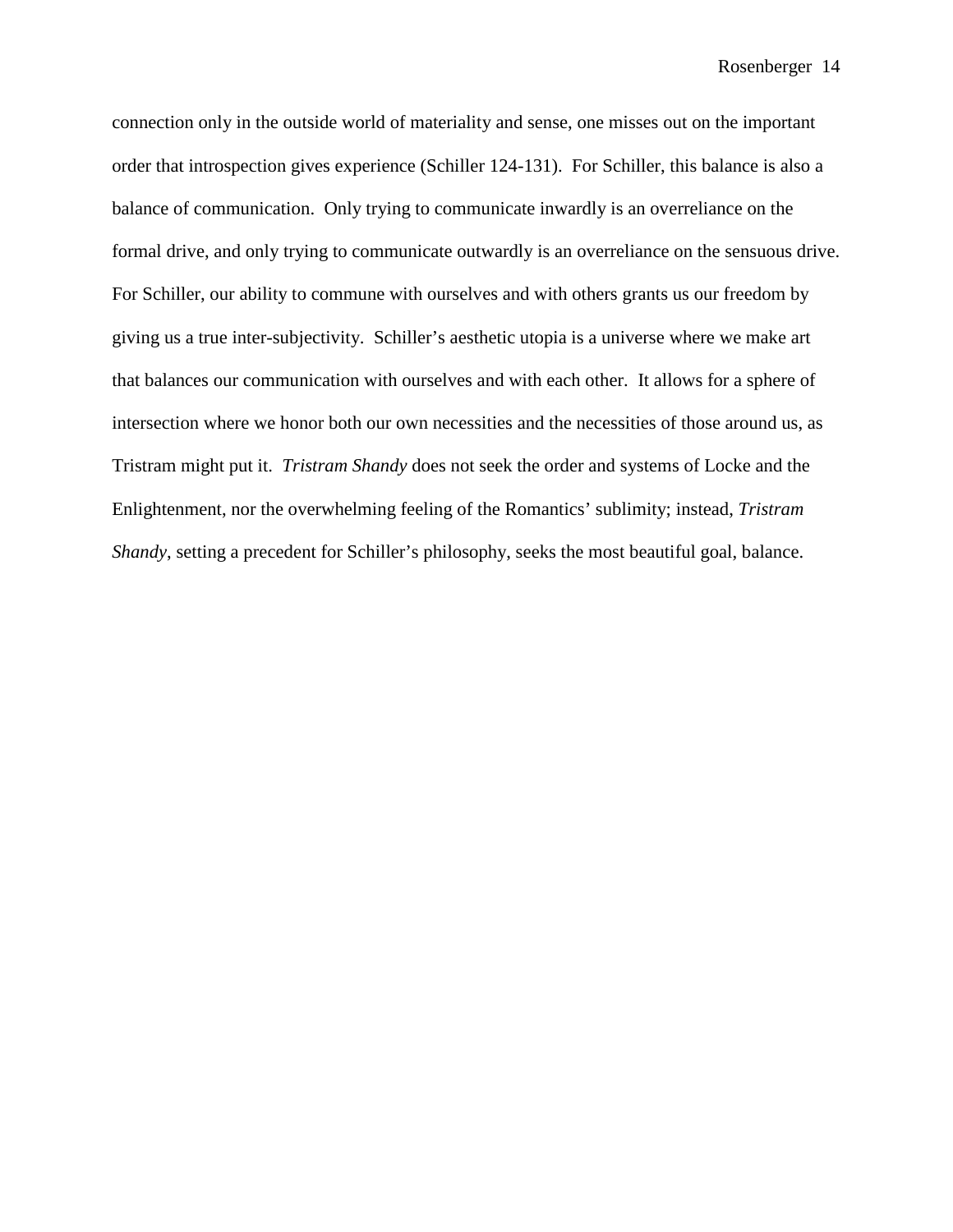connection only in the outside world of materiality and sense, one misses out on the important order that introspection gives experience (Schiller 124-131). For Schiller, this balance is also a balance of communication. Only trying to communicate inwardly is an overreliance on the formal drive, and only trying to communicate outwardly is an overreliance on the sensuous drive. For Schiller, our ability to commune with ourselves and with others grants us our freedom by giving us a true inter-subjectivity. Schiller's aesthetic utopia is a universe where we make art that balances our communication with ourselves and with each other. It allows for a sphere of intersection where we honor both our own necessities and the necessities of those around us, as Tristram might put it. *Tristram Shandy* does not seek the order and systems of Locke and the Enlightenment, nor the overwhelming feeling of the Romantics' sublimity; instead, *Tristram Shandy*, setting a precedent for Schiller's philosophy, seeks the most beautiful goal, balance.